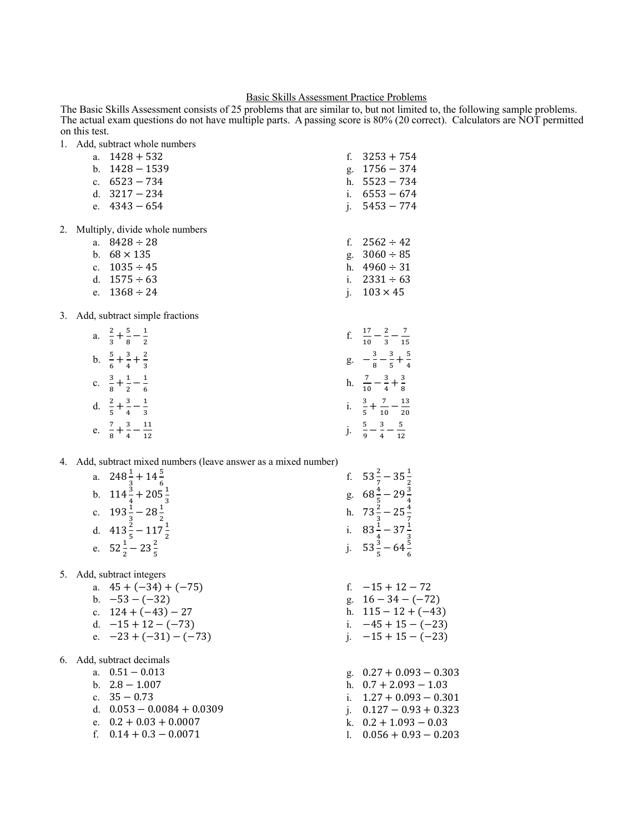## Basic Skills Assessment Practice Problems

The Basic Skills Assessment consists of 25 problems that are similar to, but not limited to, the following sample problems. The actual exam questions do not have multiple parts. A passing score is 80% (20 correct). Calculators are NOT permitted on this test.

|  |  |  |  | Add, subtract whole numbers |
|--|--|--|--|-----------------------------|
|--|--|--|--|-----------------------------|

|  | a. $1428 + 532$                                                              | $f_{\rm{m}}$   | $3253 + 754$                           |
|--|------------------------------------------------------------------------------|----------------|----------------------------------------|
|  | b. $1428 - 1539$                                                             | g.             | $1756 - 374$                           |
|  | c. $6523 - 734$                                                              |                | h. $5523 - 734$                        |
|  | d. $3217 - 234$                                                              |                | i. $6553 - 674$                        |
|  | e. $4343 - 654$                                                              | 1.             | 5453 — 774                             |
|  | 2. Multiply, divide whole numbers<br>a. $8428 \div 28$<br>b. $68 \times 135$ |                | f. $2562 \div 42$<br>g. $3060 \div 85$ |
|  | c. $1035 \div 45$                                                            | h.             | $4960 \div 31$                         |
|  | d. $1575 \div 63$                                                            | $\mathbf{i}$ . | $2331 \div 63$                         |
|  | e. $1368 \div 24$                                                            |                | $103 \times 45$                        |
|  |                                                                              |                |                                        |

3. Add, subtract simple fractions

| a. $\frac{2}{3} + \frac{5}{8} - \frac{1}{2}$   | f. $\frac{17}{10} - \frac{2}{3} - \frac{7}{15}$ |
|------------------------------------------------|-------------------------------------------------|
| b. $\frac{5}{6} + \frac{3}{4} + \frac{2}{3}$   | g. $-\frac{3}{8}-\frac{3}{5}+\frac{5}{4}$       |
| c. $\frac{3}{8} + \frac{1}{2} - \frac{1}{6}$   | h. $\frac{7}{10} - \frac{3}{4} + \frac{3}{8}$   |
| d. $\frac{2}{5} + \frac{3}{4} - \frac{1}{3}$   | i. $\frac{3}{5} + \frac{7}{10} - \frac{13}{20}$ |
| e. $\frac{7}{8} + \frac{3}{4} - \frac{11}{12}$ | j. $\frac{5}{9} - \frac{3}{4} - \frac{5}{12}$   |
|                                                |                                                 |

4. Add, subtract mixed numbers (leave answer as a mixed number)

| a. $248\frac{1}{3} + 14\frac{5}{6}$  | f. $53\frac{2}{7} - 35\frac{1}{2}$ |
|--------------------------------------|------------------------------------|
| b. $114\frac{3}{4} + 205\frac{1}{3}$ | g. $68\frac{4}{5} - 29\frac{3}{4}$ |
| c. $193\frac{1}{2}-28\frac{1}{2}$    | h. $73\frac{2}{3} - 25\frac{4}{7}$ |
| d. $413\frac{2}{5}-117\frac{1}{2}$   | i. $83\frac{1}{4} - 37\frac{1}{3}$ |
| e. $52\frac{1}{2} - 23\frac{2}{5}$   | j. $53\frac{3}{5} - 64\frac{5}{6}$ |
|                                      |                                    |

5. Add, subtract integers

- $b. -53 (-32)$ d.  $-15 + 12 - (-73)$ a.  $45 + (-34) + (-75)$ c.  $124 + (-43) - 27$
- e.  $-23 + (-31) (-73)$
- 6. Add, subtract decimals
	- a.  $0.51 0.013$ 
		- b.  $2.8 1.007$
		- c.  $35 0.73$
		- d.  $0.053 0.0084 + 0.0309$
		- e.  $0.2 + 0.03 + 0.0007$
		- f.  $0.14 + 0.3 0.0071$
- f.  $-15 + 12 72$ g.  $16 - 34 - (-72)$
- h.  $115 12 + (-43)$
- i.  $-45 + 15 (-23)$
- j.  $-15 + 15 (-23)$

g.  $0.27 + 0.093 - 0.303$ h.  $0.7 + 2.093 - 1.03$ i.  $1.27 + 0.093 - 0.301$ 

- j.  $0.127 0.93 + 0.323$
- k.  $0.2 + 1.093 0.03$
- l.  $0.056 + 0.93 0.203$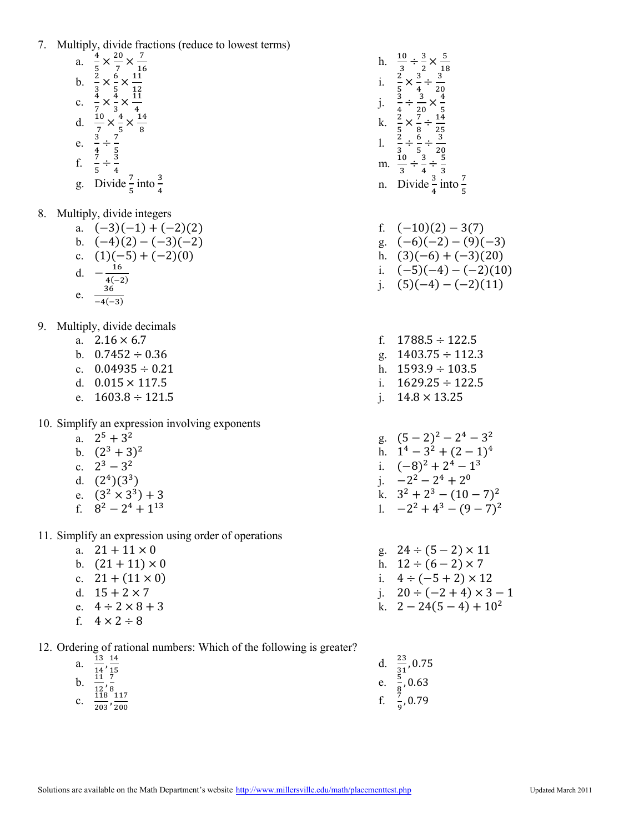7. Multiply, divide fractions (reduce to lowest terms)

a. 
$$
\frac{4}{5} \times \frac{20}{7} \times \frac{7}{16}
$$
  
\nb.  $\frac{2}{3} \times \frac{6}{5} \times \frac{11}{12}$   
\nc.  $\frac{4}{7} \times \frac{4}{3} \times \frac{11}{4}$   
\nd.  $\frac{10}{7} \times \frac{4}{5} \times \frac{14}{8}$   
\ne.  $\frac{3}{4} \div \frac{7}{5}$   
\nf.  $\frac{7}{5} \div \frac{3}{4}$   
\ng. Divide  $\frac{7}{5}$  into  $\frac{3}{4}$ 

- 8. Multiply, divide integers
	- a.  $(-3)(-1) + (-2)(2)$ b.  $(-4)(2) - (-3)(-2)$ c.  $(1)(-5) + (-2)(0)$ <br>d.  $-\frac{16}{4(-2)}$

$$
e. \quad \frac{36}{-4(-3)}
$$

- 9. Multiply, divide decimals
	- a.  $2.16 \times 6.7$
	- b.  $0.7452 \div 0.36$ c.  $0.04935 \div 0.21$ d.  $0.015 \times 117.5$
	- e.  $1603.8 \div 121.5$
- 10. Simplify an expression involving exponents
	- a.  $2^5 + 3^2$
	- b.  $(2^3 + 3)^2$
	- c  $2^3 3^2$
	- d.  $(2^4)(3^3)$
	- e.  $(3^2 \times 3^3) + 3$
	- f  $8^2 2^4 + 1^{13}$
- 11. Simplify an expression using order of operations
	- a.  $21 + 11 \times 0$
	- b.  $(21 + 11) \times 0$
	- c.  $21 + (11 \times 0)$
	- d.  $15 + 2 \times 7$
	- e.  $4 \div 2 \times 8 + 3$
	- f.  $4 \times 2 \div 8$

12. Ordering of rational numbers: Which of the following is greater?

|                |                               | ັ | ັ |                           |
|----------------|-------------------------------|---|---|---------------------------|
| a.             | $\frac{13}{14},\frac{14}{15}$ |   |   | d. $\frac{23}{31}$ , 0.75 |
| $b$ .          | $\frac{11}{12}, \frac{7}{8}$  |   |   | e. $\frac{5}{8}$ , 0.63   |
| $\mathbf{c}$ . | 118 117<br>203'200            |   |   | f. $\frac{7}{9}$ , 0.79   |

- h.  $\frac{10}{3} \div \frac{3}{2} \times \frac{5}{18}$ <br>
i.  $\frac{2}{5} \times \frac{3}{4} \div \frac{3}{20}$ <br>
j.  $\frac{3}{4} \div \frac{3}{20} \times \frac{4}{5}$ <br>
k.  $\frac{2}{5} \times \frac{7}{8} \div \frac{14}{25}$ <br>
l.  $\frac{2}{3} \div \frac{6}{5} \div \frac{3}{20}$ <br>
m.  $\frac{10}{3} \div \frac{3}{4} \div \frac{5}{3}$ <br>
n. Divide  $\frac{3}{4}$  i
- f.  $(-10)(2) 3(7)$ g.  $(-6)(-2) - (9)(-3)$ h.  $(3)(-6) + (-3)(20)$ i.  $(-5)(-4) - (-2)(10)$ i.  $(5)(-4) - (-2)(11)$
- f.  $1788.5 \div 122.5$ g.  $1403.75 \div 112.3$ h.  $1593.9 \div 103.5$ i.  $1629.25 \div 122.5$ i.  $14.8 \times 13.25$
- g.  $(5-2)^2 2^4 3^2$ <br>
h.  $1^4 3^2 + (2-1)^4$ <br>
i.  $(-8)^2 + 2^4 1^3$ <br>
j.  $-2^2 2^4 + 2^0$ <br>
k.  $3^2 + 2^3 (10-7)^2$ <br>
1.  $-2^2 + 4^3 (9-7)^2$
- g.  $24 \div (5-2) \times 11$ h.  $12 \div (6-2) \times 7$ i.  $4 \div (-5 + 2) \times 12$ j.  $20 \div (-2 + 4) \times 3 - 1$ k.  $2-24(5-4)+10^2$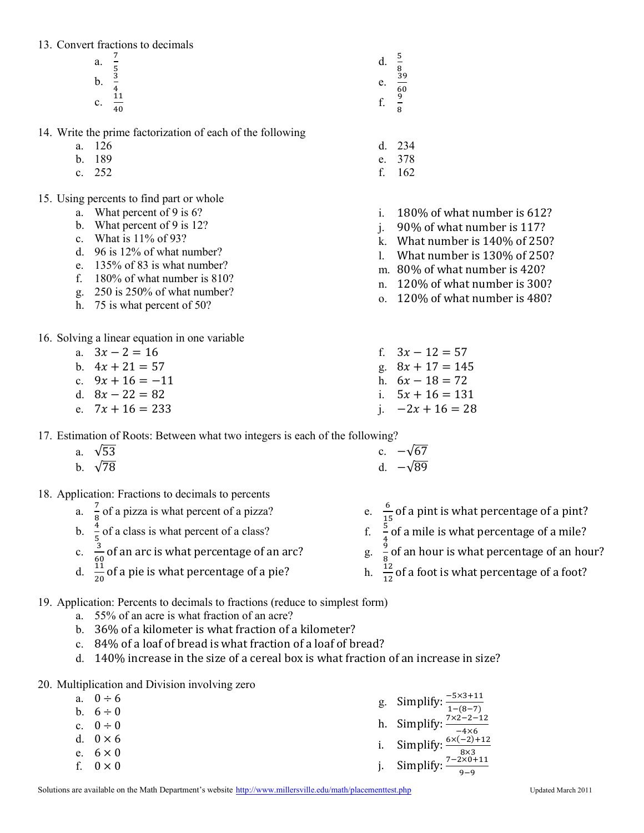13. Convert fractions to decimals

| a. | $\overline{ }$<br>с                                     | $\mathbf{1}$ | ь                                |
|----|---------------------------------------------------------|--------------|----------------------------------|
| b. | $\frac{5}{3}$<br>$\begin{array}{c} 4 \\ 11 \end{array}$ | e.           | $\frac{8}{39}$<br>$\frac{60}{9}$ |
| c. | $\frac{1}{40}$                                          | $\sim$<br>   | $\frac{1}{8}$                    |

14. Write the prime factorization of each of the following

- a. 126
- b. 189
- c. 252

15. Using percents to find part or whole

- a. What percent of 9 is 6?
- b. What percent of 9 is 12?
- c. What is 11% of 93?
- d. 96 is 12% of what number?
- e. 135% of 83 is what number?
- f. 180% of what number is 810?
- g. 250 is 250% of what number?
- h. 75 is what percent of 50?

16. Solving a linear equation in one variable

a.  $3x - 2 = 16$ b.  $4x + 21 = 57$ c.  $9x + 16 = -11$ d.  $8x - 22 = 82$ e.  $7x + 16 = 233$ f.  $3x - 12 = 57$ g.  $8x + 17 = 145$ h.  $6x - 18 = 72$ i.  $5x + 16 = 131$ j.  $-2x + 16 = 28$ 

17. Estimation of Roots: Between what two integers is each of the following?

| a. $\sqrt{53}$ | c. $-\sqrt{67}$ |
|----------------|-----------------|
| b. $\sqrt{78}$ | d. $-\sqrt{89}$ |

18. Application: Fractions to decimals to percents

| a. $\frac{7}{8}$ of a pizza is what percent of a pizza?   | e. $\frac{6}{15}$ of a pint is what percentage of a pint?  |
|-----------------------------------------------------------|------------------------------------------------------------|
| b. $\frac{4}{5}$ of a class is what percent of a class?   | f. $\frac{5}{4}$ of a mile is what percentage of a mile?   |
| c. $\frac{3}{60}$ of an arc is what percentage of an arc? | g. $\frac{9}{8}$ of an hour is what percentage of an hour? |
| d. $\frac{11}{20}$ of a pie is what percentage of a pie?  | h. $\frac{12}{12}$ of a foot is what percentage of a foot? |

d. 234 e. 378 f. 162

i. 180% of what number is 612? j. 90% of what number is 117? k. What number is 140% of 250? l. What number is 130% of 250? m. 80% of what number is 420? n. 120% of what number is 300? o. 120% of what number is 480?

- 19. Application: Percents to decimals to fractions (reduce to simplest form)
	- a. 55% of an acre is what fraction of an acre?
	- b. 36% of a kilometer is what fraction of a kilometer?
	- c. 84% of a loaf of bread is what fraction of a loaf of bread?
	- d. 140% increase in the size of a cereal box is what fraction of an increase in size?
- 20. Multiplication and Division involving zero

| a. $0 \div 6$   | g. Simplify: $\frac{-5 \times 3 + 11}{1 - (8 - 7)}$    |
|-----------------|--------------------------------------------------------|
| b. $6 \div 0$   |                                                        |
| c. $0 \div 0$   | h. Simplify: $\frac{7 \times 2 - 2 - 12}{-4 \times 6}$ |
| d. $0 \times 6$ | i. Simplify: $\frac{6 \times (-2) + 12}{8 \times 3}$   |
| e. $6 \times 0$ |                                                        |
| f. $0 \times 0$ | j. Simplify: $\frac{7-2\times 0+11}{9-9}$              |